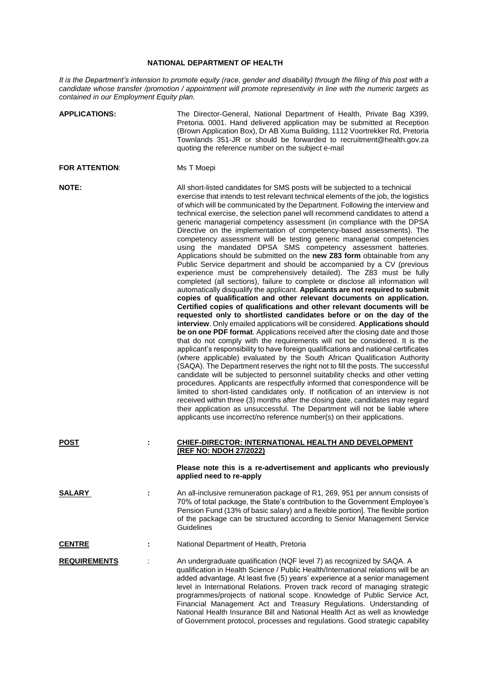## **NATIONAL DEPARTMENT OF HEALTH**

*It is the Department's intension to promote equity (race, gender and disability) through the filing of this post with a candidate whose transfer /promotion / appointment will promote representivity in line with the numeric targets as contained in our Employment Equity plan.*

| <b>APPLICATIONS:</b>  |   | The Director-General, National Department of Health, Private Bag X399,<br>Pretoria. 0001. Hand delivered application may be submitted at Reception<br>(Brown Application Box), Dr AB Xuma Building, 1112 Voortrekker Rd, Pretoria<br>Townlands 351-JR or should be forwarded to recruitment@health.gov.za<br>quoting the reference number on the subject e-mail                                                                                                                                                                                                                                                                                                                                                                                                                                                                                                                                                                                                                                                                                                                                                                                                                                                                                                                                                                                                                                                                                                                                                                                                                                                                                                                                                                                                                                                                                                                                                                                                                                                                                                                                                                                                                                                                                            |
|-----------------------|---|------------------------------------------------------------------------------------------------------------------------------------------------------------------------------------------------------------------------------------------------------------------------------------------------------------------------------------------------------------------------------------------------------------------------------------------------------------------------------------------------------------------------------------------------------------------------------------------------------------------------------------------------------------------------------------------------------------------------------------------------------------------------------------------------------------------------------------------------------------------------------------------------------------------------------------------------------------------------------------------------------------------------------------------------------------------------------------------------------------------------------------------------------------------------------------------------------------------------------------------------------------------------------------------------------------------------------------------------------------------------------------------------------------------------------------------------------------------------------------------------------------------------------------------------------------------------------------------------------------------------------------------------------------------------------------------------------------------------------------------------------------------------------------------------------------------------------------------------------------------------------------------------------------------------------------------------------------------------------------------------------------------------------------------------------------------------------------------------------------------------------------------------------------------------------------------------------------------------------------------------------------|
| <b>FOR ATTENTION:</b> |   | Ms T Moepi                                                                                                                                                                                                                                                                                                                                                                                                                                                                                                                                                                                                                                                                                                                                                                                                                                                                                                                                                                                                                                                                                                                                                                                                                                                                                                                                                                                                                                                                                                                                                                                                                                                                                                                                                                                                                                                                                                                                                                                                                                                                                                                                                                                                                                                 |
| <b>NOTE:</b>          |   | All short-listed candidates for SMS posts will be subjected to a technical<br>exercise that intends to test relevant technical elements of the job, the logistics<br>of which will be communicated by the Department. Following the interview and<br>technical exercise, the selection panel will recommend candidates to attend a<br>generic managerial competency assessment (in compliance with the DPSA<br>Directive on the implementation of competency-based assessments). The<br>competency assessment will be testing generic managerial competencies<br>using the mandated DPSA SMS competency assessment batteries.<br>Applications should be submitted on the new Z83 form obtainable from any<br>Public Service department and should be accompanied by a CV (previous<br>experience must be comprehensively detailed). The Z83 must be fully<br>completed (all sections), failure to complete or disclose all information will<br>automatically disqualify the applicant. Applicants are not required to submit<br>copies of qualification and other relevant documents on application.<br>Certified copies of qualifications and other relevant documents will be<br>requested only to shortlisted candidates before or on the day of the<br>interview. Only emailed applications will be considered. Applications should<br>be on one PDF format. Applications received after the closing date and those<br>that do not comply with the requirements will not be considered. It is the<br>applicant's responsibility to have foreign qualifications and national certificates<br>(where applicable) evaluated by the South African Qualification Authority<br>(SAQA). The Department reserves the right not to fill the posts. The successful<br>candidate will be subjected to personnel suitability checks and other vetting<br>procedures. Applicants are respectfully informed that correspondence will be<br>limited to short-listed candidates only. If notification of an interview is not<br>received within three (3) months after the closing date, candidates may regard<br>their application as unsuccessful. The Department will not be liable where<br>applicants use incorrect/no reference number(s) on their applications. |
| <b>POST</b>           | t | CHIEF-DIRECTOR: INTERNATIONAL HEALTH AND DEVELOPMENT<br>(REF NO: NDOH 27/2022)                                                                                                                                                                                                                                                                                                                                                                                                                                                                                                                                                                                                                                                                                                                                                                                                                                                                                                                                                                                                                                                                                                                                                                                                                                                                                                                                                                                                                                                                                                                                                                                                                                                                                                                                                                                                                                                                                                                                                                                                                                                                                                                                                                             |
|                       |   | Please note this is a re-advertisement and applicants who previously<br>applied need to re-apply                                                                                                                                                                                                                                                                                                                                                                                                                                                                                                                                                                                                                                                                                                                                                                                                                                                                                                                                                                                                                                                                                                                                                                                                                                                                                                                                                                                                                                                                                                                                                                                                                                                                                                                                                                                                                                                                                                                                                                                                                                                                                                                                                           |
| <b>SALARY</b>         |   | An all-inclusive remuneration package of R1, 269, 951 per annum consists of<br>70% of total package, the State's contribution to the Government Employee's<br>Pension Fund (13% of basic salary) and a flexible portion]. The flexible portion<br>of the package can be structured according to Senior Management Service<br>Guidelines                                                                                                                                                                                                                                                                                                                                                                                                                                                                                                                                                                                                                                                                                                                                                                                                                                                                                                                                                                                                                                                                                                                                                                                                                                                                                                                                                                                                                                                                                                                                                                                                                                                                                                                                                                                                                                                                                                                    |
| <b>CENTRE</b>         | ÷ | National Department of Health, Pretoria                                                                                                                                                                                                                                                                                                                                                                                                                                                                                                                                                                                                                                                                                                                                                                                                                                                                                                                                                                                                                                                                                                                                                                                                                                                                                                                                                                                                                                                                                                                                                                                                                                                                                                                                                                                                                                                                                                                                                                                                                                                                                                                                                                                                                    |
| <b>REQUIREMENTS</b>   |   | An undergraduate qualification (NQF level 7) as recognized by SAQA. A<br>qualification in Health Science / Public Health/International relations will be an<br>added advantage. At least five (5) years' experience at a senior management<br>level in International Relations. Proven track record of managing strategic<br>programmes/projects of national scope. Knowledge of Public Service Act,<br>Financial Management Act and Treasury Regulations. Understanding of<br>National Health Insurance Bill and National Health Act as well as knowledge<br>of Government protocol, processes and regulations. Good strategic capability                                                                                                                                                                                                                                                                                                                                                                                                                                                                                                                                                                                                                                                                                                                                                                                                                                                                                                                                                                                                                                                                                                                                                                                                                                                                                                                                                                                                                                                                                                                                                                                                                 |